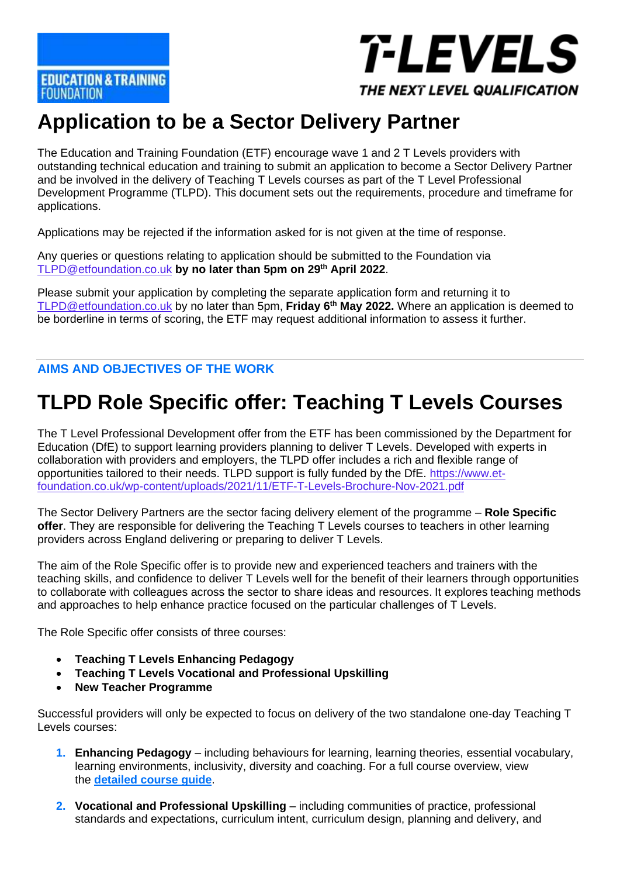

#### THE NEXT LEVEL QUALIFICATION

# **Application to be a Sector Delivery Partner**

The Education and Training Foundation (ETF) encourage wave 1 and 2 T Levels providers with outstanding technical education and training to submit an application to become a Sector Delivery Partner and be involved in the delivery of Teaching T Levels courses as part of the T Level Professional Development Programme (TLPD). This document sets out the requirements, procedure and timeframe for applications.

Applications may be rejected if the information asked for is not given at the time of response.

Any queries or questions relating to application should be submitted to the Foundation via [TLPD@etfoundation.co.uk](mailto:TLPD@etfoundation.co.uk) **by no later than 5pm on 29th April 2022**.

Please submit your application by completing the separate application form and returning it to [TLPD@etfoundation.co.uk](mailto:TLPD@etfoundation.co.uk) by no later than 5pm, **Friday 6th May 2022.** Where an application is deemed to be borderline in terms of scoring, the ETF may request additional information to assess it further.

**AIMS AND OBJECTIVES OF THE WORK**

# **TLPD Role Specific offer: Teaching T Levels Courses**

The T Level Professional Development offer from the ETF has been commissioned by the Department for Education (DfE) to support learning providers planning to deliver T Levels. Developed with experts in collaboration with providers and employers, the TLPD offer includes a rich and flexible range of opportunities tailored to their needs. TLPD support is fully funded by the DfE. [https://www.et](https://www.et-foundation.co.uk/wp-content/uploads/2021/11/ETF-T-Levels-Brochure-Nov-2021.pdf)[foundation.co.uk/wp-content/uploads/2021/11/ETF-T-Levels-Brochure-Nov-2021.pdf](https://www.et-foundation.co.uk/wp-content/uploads/2021/11/ETF-T-Levels-Brochure-Nov-2021.pdf)

The Sector Delivery Partners are the sector facing delivery element of the programme – **Role Specific offer**. They are responsible for delivering the Teaching T Levels courses to teachers in other learning providers across England delivering or preparing to deliver T Levels.

The aim of the Role Specific offer is to provide new and experienced teachers and trainers with the teaching skills, and confidence to deliver T Levels well for the benefit of their learners through opportunities to collaborate with colleagues across the sector to share ideas and resources. It explores teaching methods and approaches to help enhance practice focused on the particular challenges of T Levels.

The Role Specific offer consists of three courses:

- **Teaching T Levels Enhancing Pedagogy**
- **Teaching T Levels Vocational and Professional Upskilling**
- **New Teacher Programme**

Successful providers will only be expected to focus on delivery of the two standalone one-day Teaching T Levels courses:

- **1. Enhancing Pedagogy** including behaviours for learning, learning theories, essential vocabulary, learning environments, inclusivity, diversity and coaching. For a full course overview, view the **[detailed course guide](https://www.et-foundation.co.uk/wp-content/uploads/2022/01/Teaching-T-Levels-Enhancing-Pedagogy-course-guide.pdf?_gl=1*m19ps9*_ga*MTQ0ODIyNzk3MS4xNjM5MDM3ODQ1*_ga_6F0PEMWK3W*MTY0NDUxMTY1NS4xLjEuMTY0NDUxMTY5Ny4w)**.
- **2. Vocational and Professional Upskilling** including communities of practice, professional standards and expectations, curriculum intent, curriculum design, planning and delivery, and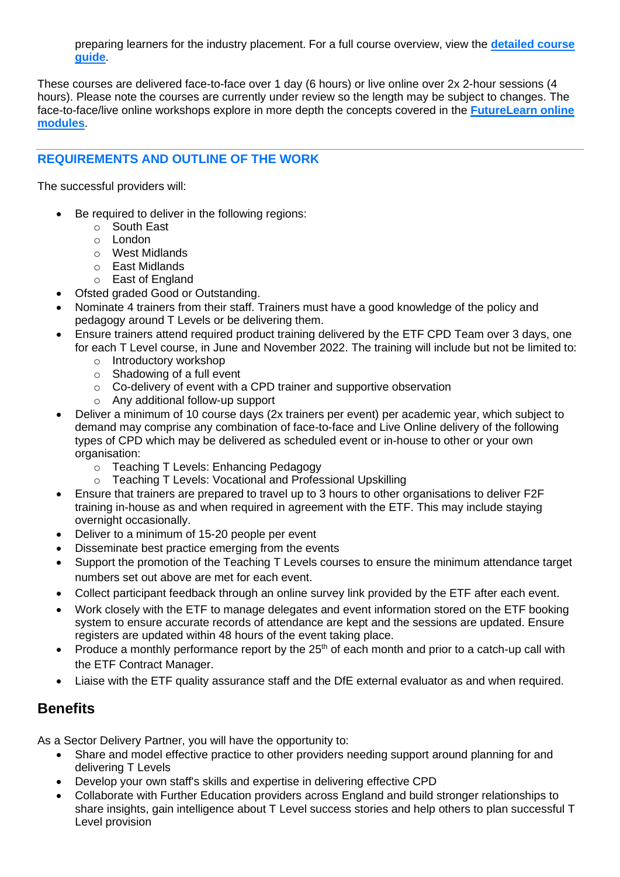preparing learners for the industry placement. For a full course overview, view the **[detailed course](https://www.et-foundation.co.uk/wp-content/uploads/2022/01/Teaching-T-Levels-Vocational-and-Professional-Upskilling-course-guide.pdf?_gl=1*6dehdt*_ga*MTQ0ODIyNzk3MS4xNjM5MDM3ODQ1*_ga_6F0PEMWK3W*MTY0Mzk2ODEwOS4xLjEuMTY0Mzk2ODEzMS4w)  [guide](https://www.et-foundation.co.uk/wp-content/uploads/2022/01/Teaching-T-Levels-Vocational-and-Professional-Upskilling-course-guide.pdf?_gl=1*6dehdt*_ga*MTQ0ODIyNzk3MS4xNjM5MDM3ODQ1*_ga_6F0PEMWK3W*MTY0Mzk2ODEwOS4xLjEuMTY0Mzk2ODEzMS4w)**.

These courses are delivered face-to-face over 1 day (6 hours) or live online over 2x 2-hour sessions (4 hours). Please note the courses are currently under review so the length may be subject to changes. The face-to-face/live online workshops explore in more depth the concepts covered in the **[FutureLearn online](https://pdp.etfoundation.co.uk/programmes/t-levels/resourcesearch?searchterm=Teaching+T+Levels&ett_id%5B%5D=8&recommendedresources=&limit=50&sort=priority)  [modules](https://pdp.etfoundation.co.uk/programmes/t-levels/resourcesearch?searchterm=Teaching+T+Levels&ett_id%5B%5D=8&recommendedresources=&limit=50&sort=priority)**.

#### **REQUIREMENTS AND OUTLINE OF THE WORK**

The successful providers will:

- Be required to deliver in the following regions:
	- o South East
	- o London
	- o West Midlands
	- o East Midlands
	- o East of England
- Ofsted graded Good or Outstanding.
- Nominate 4 trainers from their staff. Trainers must have a good knowledge of the policy and pedagogy around T Levels or be delivering them.
- Ensure trainers attend required product training delivered by the ETF CPD Team over 3 days, one for each T Level course, in June and November 2022. The training will include but not be limited to:
	- o Introductory workshop
	- o Shadowing of a full event
	- o Co-delivery of event with a CPD trainer and supportive observation
	- o Any additional follow-up support
- Deliver a minimum of 10 course days (2x trainers per event) per academic year, which subject to demand may comprise any combination of face-to-face and Live Online delivery of the following types of CPD which may be delivered as scheduled event or in-house to other or your own organisation:
	- o Teaching T Levels: Enhancing Pedagogy
	- o Teaching T Levels: Vocational and Professional Upskilling
- Ensure that trainers are prepared to travel up to 3 hours to other organisations to deliver F2F training in-house as and when required in agreement with the ETF. This may include staying overnight occasionally.
- Deliver to a minimum of 15-20 people per event
- Disseminate best practice emerging from the events
- Support the promotion of the Teaching T Levels courses to ensure the minimum attendance target numbers set out above are met for each event.
- Collect participant feedback through an online survey link provided by the ETF after each event.
- Work closely with the ETF to manage delegates and event information stored on the ETF booking system to ensure accurate records of attendance are kept and the sessions are updated. Ensure registers are updated within 48 hours of the event taking place.
- Produce a monthly performance report by the  $25<sup>th</sup>$  of each month and prior to a catch-up call with the ETF Contract Manager.
- Liaise with the ETF quality assurance staff and the DfE external evaluator as and when required.

### **Benefits**

As a Sector Delivery Partner, you will have the opportunity to:

- Share and model effective practice to other providers needing support around planning for and delivering T Levels
- Develop your own staff's skills and expertise in delivering effective CPD
- Collaborate with Further Education providers across England and build stronger relationships to share insights, gain intelligence about T Level success stories and help others to plan successful T Level provision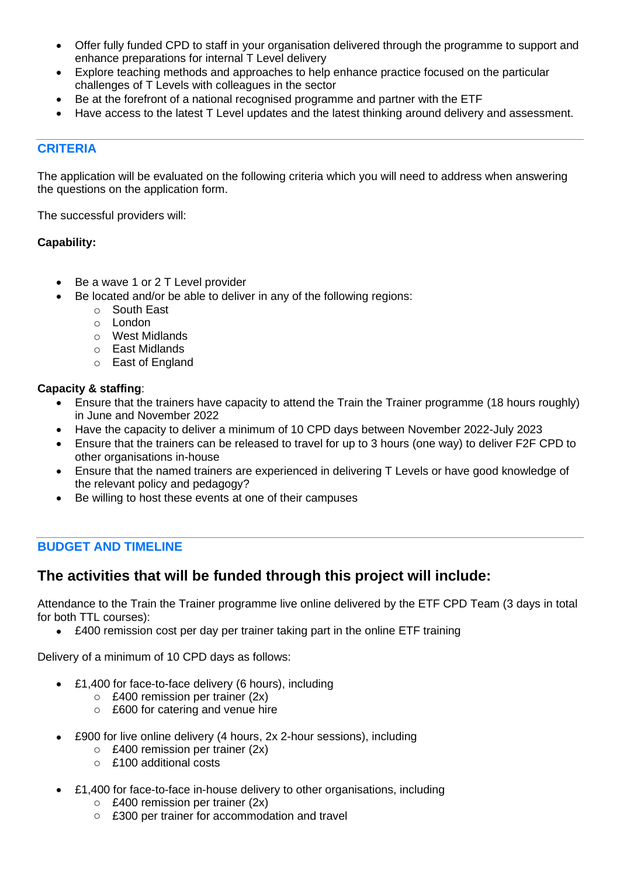- Offer fully funded CPD to staff in your organisation delivered through the programme to support and enhance preparations for internal T Level delivery
- Explore teaching methods and approaches to help enhance practice focused on the particular challenges of T Levels with colleagues in the sector
- Be at the forefront of a national recognised programme and partner with the ETF
- Have access to the latest T Level updates and the latest thinking around delivery and assessment.

#### **CRITERIA**

The application will be evaluated on the following criteria which you will need to address when answering the questions on the application form.

The successful providers will:

#### **Capability:**

- Be a wave 1 or 2 T Level provider
- Be located and/or be able to deliver in any of the following regions:
	- o South East
	- o London
	- o West Midlands
	- o East Midlands
	- o East of England

#### **Capacity & staffing**:

- Ensure that the trainers have capacity to attend the Train the Trainer programme (18 hours roughly) in June and November 2022
- Have the capacity to deliver a minimum of 10 CPD days between November 2022-July 2023
- Ensure that the trainers can be released to travel for up to 3 hours (one way) to deliver F2F CPD to other organisations in-house
- Ensure that the named trainers are experienced in delivering T Levels or have good knowledge of the relevant policy and pedagogy?
- Be willing to host these events at one of their campuses

#### **BUDGET AND TIMELINE**

### **The activities that will be funded through this project will include:**

Attendance to the Train the Trainer programme live online delivered by the ETF CPD Team (3 days in total for both TTL courses):

• £400 remission cost per day per trainer taking part in the online ETF training

Delivery of a minimum of 10 CPD days as follows:

- £1,400 for face-to-face delivery (6 hours), including
	- o £400 remission per trainer (2x)
	- o £600 for catering and venue hire
- £900 for live online delivery (4 hours, 2x 2-hour sessions), including
	- o £400 remission per trainer (2x)
	- o £100 additional costs
- £1,400 for face-to-face in-house delivery to other organisations, including
	- o £400 remission per trainer (2x)
	- o £300 per trainer for accommodation and travel